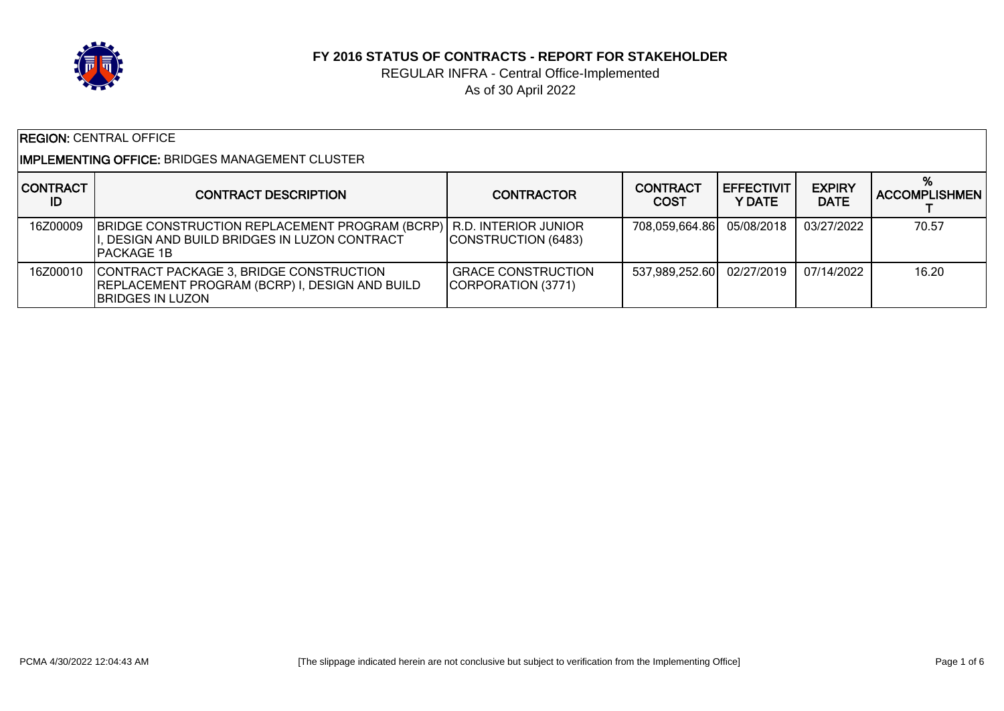

#### **FY 2016 STATUS OF CONTRACTS - REPORT FOR STAKEHOLDER**

### REGULAR INFRA - Central Office-Implemented As of 30 April 2022

| <b>REGION: CENTRAL OFFICE</b>                          |                                                                                                                                           |                                                 |                                |                              |                              |                           |  |
|--------------------------------------------------------|-------------------------------------------------------------------------------------------------------------------------------------------|-------------------------------------------------|--------------------------------|------------------------------|------------------------------|---------------------------|--|
| <b>IMPLEMENTING OFFICE: BRIDGES MANAGEMENT CLUSTER</b> |                                                                                                                                           |                                                 |                                |                              |                              |                           |  |
| <b>CONTRACT</b><br>ID                                  | <b>CONTRACT DESCRIPTION</b>                                                                                                               | <b>CONTRACTOR</b>                               | <b>CONTRACT</b><br><b>COST</b> | <b>EFFECTIVIT</b><br>Y DATE. | <b>EXPIRY</b><br><b>DATE</b> | %<br><b>ACCOMPLISHMEN</b> |  |
| 16Z00009                                               | <b>BRIDGE CONSTRUCTION REPLACEMENT PROGRAM (BCRP)</b> R.D. INTERIOR JUNIOR<br>, DESIGN AND BUILD BRIDGES IN LUZON CONTRACT<br>IPACKAGE 1B | CONSTRUCTION (6483)                             | 708,059,664.86                 | 05/08/2018                   | 03/27/2022                   | 70.57                     |  |
| 16Z00010                                               | CONTRACT PACKAGE 3, BRIDGE CONSTRUCTION<br><b>IREPLACEMENT PROGRAM (BCRP) I, DESIGN AND BUILD</b><br><b>BRIDGES IN LUZON</b>              | <b>GRACE CONSTRUCTION</b><br>CORPORATION (3771) | 537,989,252.60                 | 02/27/2019                   | 07/14/2022                   | 16.20                     |  |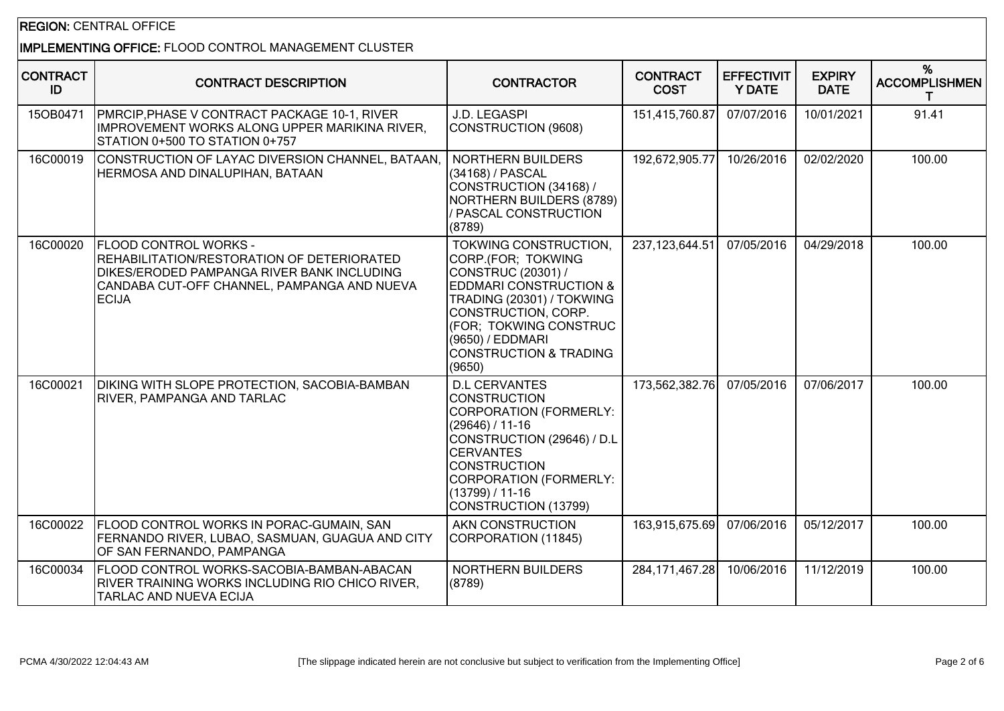# REGION: CENTRAL OFFICE

# IMPLEMENTING OFFICE: FLOOD CONTROL MANAGEMENT CLUSTER

| <b>CONTRACT</b><br>ID | <b>CONTRACT DESCRIPTION</b>                                                                                                                                                      | <b>CONTRACTOR</b>                                                                                                                                                                                                                                       | <b>CONTRACT</b><br><b>COST</b> | <b>EFFECTIVIT</b><br><b>Y DATE</b> | <b>EXPIRY</b><br><b>DATE</b> | %<br><b>ACCOMPLISHMEN</b> |
|-----------------------|----------------------------------------------------------------------------------------------------------------------------------------------------------------------------------|---------------------------------------------------------------------------------------------------------------------------------------------------------------------------------------------------------------------------------------------------------|--------------------------------|------------------------------------|------------------------------|---------------------------|
| 15OB0471              | PMRCIP, PHASE V CONTRACT PACKAGE 10-1, RIVER<br>IMPROVEMENT WORKS ALONG UPPER MARIKINA RIVER,<br>STATION 0+500 TO STATION 0+757                                                  | J.D. LEGASPI<br>CONSTRUCTION (9608)                                                                                                                                                                                                                     | 151,415,760.87                 | 07/07/2016                         | 10/01/2021                   | 91.41                     |
| 16C00019              | CONSTRUCTION OF LAYAC DIVERSION CHANNEL, BATAAN,<br>HERMOSA AND DINALUPIHAN, BATAAN                                                                                              | <b>NORTHERN BUILDERS</b><br>(34168) / PASCAL<br>CONSTRUCTION (34168) /<br>NORTHERN BUILDERS (8789)<br>/ PASCAL CONSTRUCTION<br>(8789)                                                                                                                   | 192,672,905.77                 | 10/26/2016                         | 02/02/2020                   | 100.00                    |
| 16C00020              | FLOOD CONTROL WORKS -<br>REHABILITATION/RESTORATION OF DETERIORATED<br>DIKES/ERODED PAMPANGA RIVER BANK INCLUDING<br>CANDABA CUT-OFF CHANNEL, PAMPANGA AND NUEVA<br><b>ECIJA</b> | TOKWING CONSTRUCTION,<br>CORP.(FOR; TOKWING<br>CONSTRUC (20301) /<br><b>EDDMARI CONSTRUCTION &amp;</b><br>TRADING (20301) / TOKWING<br>CONSTRUCTION, CORP.<br>(FOR; TOKWING CONSTRUC<br>(9650) / EDDMARI<br><b>CONSTRUCTION &amp; TRADING</b><br>(9650) | 237,123,644.51                 | 07/05/2016                         | 04/29/2018                   | 100.00                    |
| 16C00021              | DIKING WITH SLOPE PROTECTION, SACOBIA-BAMBAN<br>RIVER, PAMPANGA AND TARLAC                                                                                                       | <b>D.L CERVANTES</b><br><b>CONSTRUCTION</b><br>CORPORATION (FORMERLY:<br>$(29646) / 11-16$<br>CONSTRUCTION (29646) / D.L<br><b>CERVANTES</b><br><b>CONSTRUCTION</b><br>CORPORATION (FORMERLY:<br>$(13799) / 11 - 16$<br>CONSTRUCTION (13799)            | 173,562,382.76                 | 07/05/2016                         | 07/06/2017                   | 100.00                    |
| 16C00022              | FLOOD CONTROL WORKS IN PORAC-GUMAIN, SAN<br>FERNANDO RIVER, LUBAO, SASMUAN, GUAGUA AND CITY<br>OF SAN FERNANDO, PAMPANGA                                                         | AKN CONSTRUCTION<br>CORPORATION (11845)                                                                                                                                                                                                                 | 163,915,675.69                 | 07/06/2016                         | 05/12/2017                   | 100.00                    |
| 16C00034              | FLOOD CONTROL WORKS-SACOBIA-BAMBAN-ABACAN<br>RIVER TRAINING WORKS INCLUDING RIO CHICO RIVER,<br>TARLAC AND NUEVA ECIJA                                                           | NORTHERN BUILDERS<br>(8789)                                                                                                                                                                                                                             | 284, 171, 467. 28              | 10/06/2016                         | 11/12/2019                   | 100.00                    |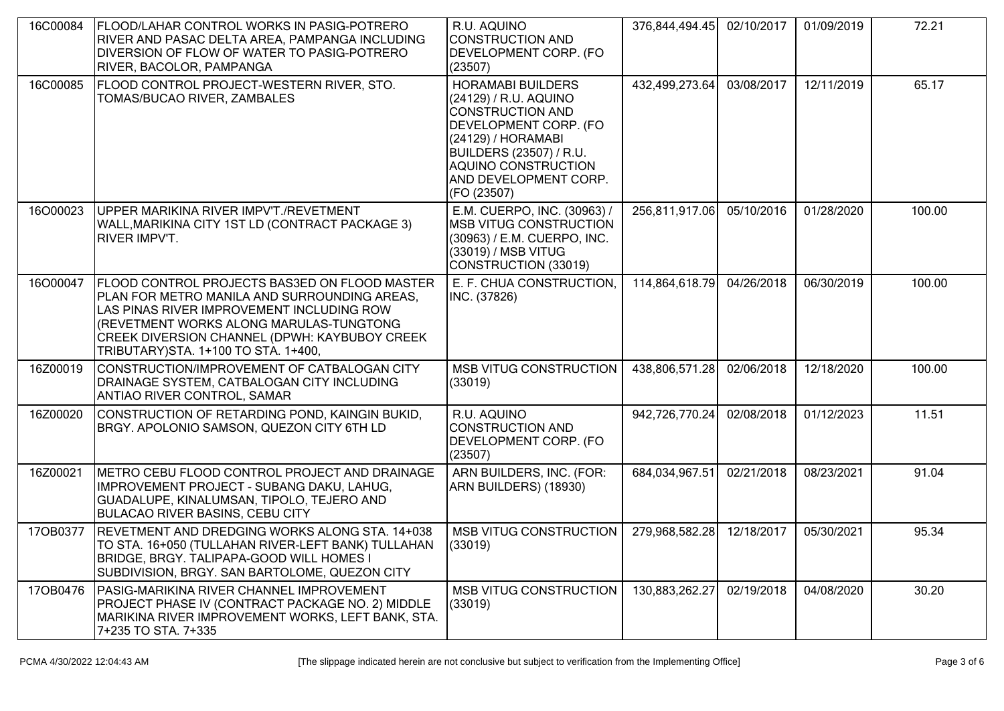| 16C00084 | FLOOD/LAHAR CONTROL WORKS IN PASIG-POTRERO<br>RIVER AND PASAC DELTA AREA, PAMPANGA INCLUDING<br>DIVERSION OF FLOW OF WATER TO PASIG-POTRERO<br>RIVER, BACOLOR, PAMPANGA                                                                                                        | R.U. AQUINO<br>CONSTRUCTION AND<br><b>DEVELOPMENT CORP. (FO</b><br>(23507)                                                                                                                                                   | 376,844,494.45 | 02/10/2017 | 01/09/2019 | 72.21  |
|----------|--------------------------------------------------------------------------------------------------------------------------------------------------------------------------------------------------------------------------------------------------------------------------------|------------------------------------------------------------------------------------------------------------------------------------------------------------------------------------------------------------------------------|----------------|------------|------------|--------|
| 16C00085 | FLOOD CONTROL PROJECT-WESTERN RIVER, STO.<br>TOMAS/BUCAO RIVER, ZAMBALES                                                                                                                                                                                                       | <b>HORAMABI BUILDERS</b><br>(24129) / R.U. AQUINO<br><b>CONSTRUCTION AND</b><br>DEVELOPMENT CORP. (FO<br>(24129) / HORAMABI<br><b>BUILDERS (23507) / R.U.</b><br>AQUINO CONSTRUCTION<br>AND DEVELOPMENT CORP.<br>(FO (23507) | 432,499,273.64 | 03/08/2017 | 12/11/2019 | 65.17  |
| 16O00023 | UPPER MARIKINA RIVER IMPV'T./REVETMENT<br>WALL, MARIKINA CITY 1ST LD (CONTRACT PACKAGE 3)<br><b>RIVER IMPV'T.</b>                                                                                                                                                              | E.M. CUERPO, INC. (30963) /<br><b>MSB VITUG CONSTRUCTION</b><br>(30963) / E.M. CUERPO, INC.<br>(33019) / MSB VITUG<br>CONSTRUCTION (33019)                                                                                   | 256,811,917.06 | 05/10/2016 | 01/28/2020 | 100.00 |
| 16O00047 | FLOOD CONTROL PROJECTS BAS3ED ON FLOOD MASTER<br>PLAN FOR METRO MANILA AND SURROUNDING AREAS,<br>LAS PINAS RIVER IMPROVEMENT INCLUDING ROW<br>(REVETMENT WORKS ALONG MARULAS-TUNGTONG<br>CREEK DIVERSION CHANNEL (DPWH: KAYBUBOY CREEK<br>TRIBUTARY) STA. 1+100 TO STA. 1+400, | E. F. CHUA CONSTRUCTION,<br>INC. (37826)                                                                                                                                                                                     | 114,864,618.79 | 04/26/2018 | 06/30/2019 | 100.00 |
| 16Z00019 | CONSTRUCTION/IMPROVEMENT OF CATBALOGAN CITY<br>DRAINAGE SYSTEM, CATBALOGAN CITY INCLUDING<br><b>ANTIAO RIVER CONTROL, SAMAR</b>                                                                                                                                                | <b>MSB VITUG CONSTRUCTION</b><br>(33019)                                                                                                                                                                                     | 438,806,571.28 | 02/06/2018 | 12/18/2020 | 100.00 |
| 16Z00020 | CONSTRUCTION OF RETARDING POND, KAINGIN BUKID,<br>BRGY. APOLONIO SAMSON, QUEZON CITY 6TH LD                                                                                                                                                                                    | R.U. AQUINO<br><b>CONSTRUCTION AND</b><br>DEVELOPMENT CORP. (FO<br>(23507)                                                                                                                                                   | 942,726,770.24 | 02/08/2018 | 01/12/2023 | 11.51  |
| 16Z00021 | METRO CEBU FLOOD CONTROL PROJECT AND DRAINAGE<br>IMPROVEMENT PROJECT - SUBANG DAKU, LAHUG,<br>GUADALUPE, KINALUMSAN, TIPOLO, TEJERO AND<br><b>BULACAO RIVER BASINS, CEBU CITY</b>                                                                                              | ARN BUILDERS, INC. (FOR:<br>ARN BUILDERS) (18930)                                                                                                                                                                            | 684,034,967.51 | 02/21/2018 | 08/23/2021 | 91.04  |
| 170B0377 | REVETMENT AND DREDGING WORKS ALONG STA. 14+038<br>TO STA. 16+050 (TULLAHAN RIVER-LEFT BANK) TULLAHAN<br>BRIDGE, BRGY. TALIPAPA-GOOD WILL HOMES I<br>SUBDIVISION, BRGY. SAN BARTOLOME, QUEZON CITY                                                                              | <b>MSB VITUG CONSTRUCTION</b><br>(33019)                                                                                                                                                                                     | 279,968,582.28 | 12/18/2017 | 05/30/2021 | 95.34  |
| 170B0476 | PASIG-MARIKINA RIVER CHANNEL IMPROVEMENT<br>PROJECT PHASE IV (CONTRACT PACKAGE NO. 2) MIDDLE<br>MARIKINA RIVER IMPROVEMENT WORKS, LEFT BANK, STA.<br>7+235 TO STA. 7+335                                                                                                       | <b>MSB VITUG CONSTRUCTION</b><br>(33019)                                                                                                                                                                                     | 130,883,262.27 | 02/19/2018 | 04/08/2020 | 30.20  |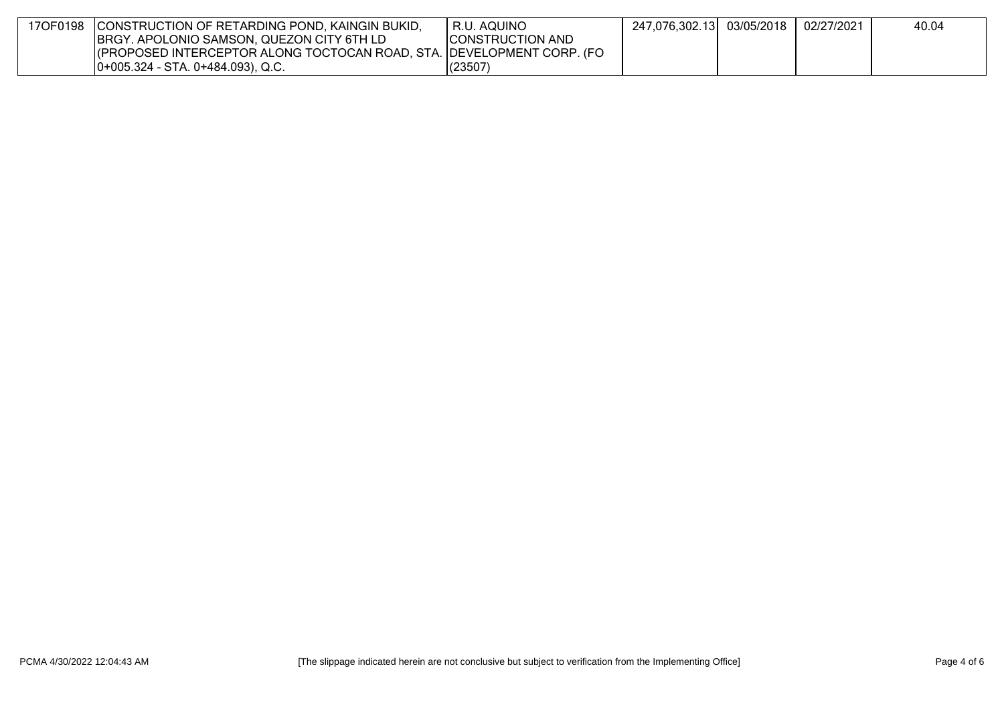| 17OF0198 | CONSTRUCTION OF RETARDING POND, KAINGIN BUKID,                        | R.U. AQUINO             | 247,076,302.13 | 03/05/2018 | 02/27/2021 | 40.04 |
|----------|-----------------------------------------------------------------------|-------------------------|----------------|------------|------------|-------|
|          | BRGY. APOLONIO SAMSON, QUEZON CITY 6TH LD                             | <b>CONSTRUCTION AND</b> |                |            |            |       |
|          | (PROPOSED INTERCEPTOR ALONG TOCTOCAN ROAD, STA. DEVELOPMENT CORP. (FO |                         |                |            |            |       |
|          | $[0+005.324 - STA. 0+484.093), Q.C.$                                  | (23507)                 |                |            |            |       |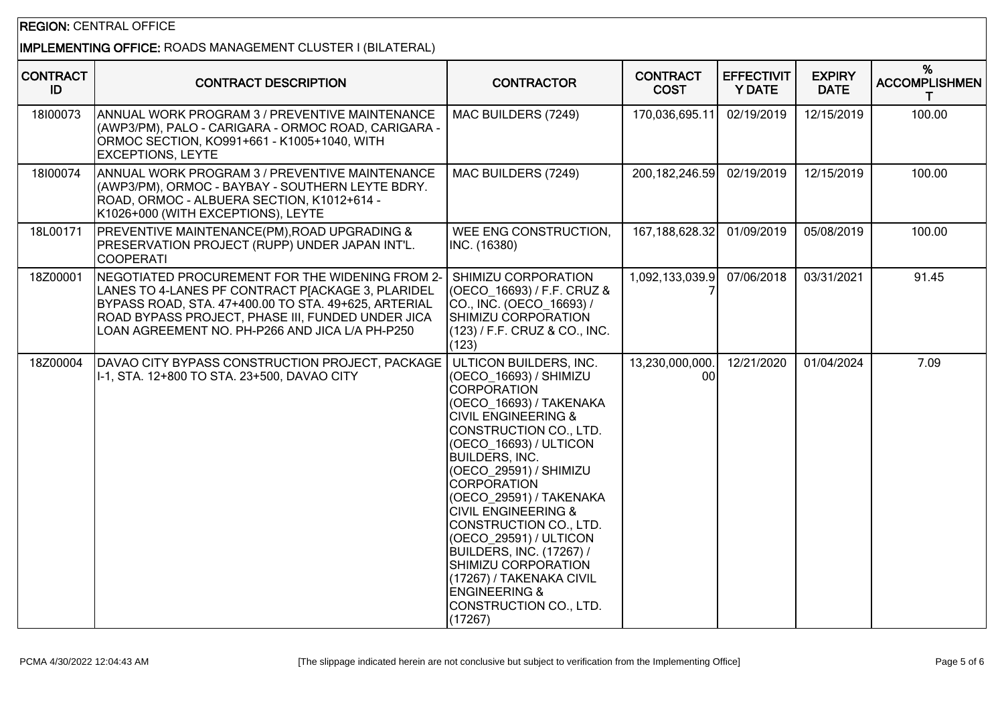#### REGION: CENTRAL OFFICE

# IMPLEMENTING OFFICE: ROADS MANAGEMENT CLUSTER I (BILATERAL)

| <b>CONTRACT</b><br>ID | <b>CONTRACT DESCRIPTION</b>                                                                                                                                                                                                                                          | <b>CONTRACTOR</b>                                                                                                                                                                                                                                                                                                                                                                                                                                                                                        | <b>CONTRACT</b><br><b>COST</b> | <b>EFFECTIVIT</b><br><b>Y DATE</b> | <b>EXPIRY</b><br><b>DATE</b> | %<br><b>ACCOMPLISHMEN</b><br>т |
|-----------------------|----------------------------------------------------------------------------------------------------------------------------------------------------------------------------------------------------------------------------------------------------------------------|----------------------------------------------------------------------------------------------------------------------------------------------------------------------------------------------------------------------------------------------------------------------------------------------------------------------------------------------------------------------------------------------------------------------------------------------------------------------------------------------------------|--------------------------------|------------------------------------|------------------------------|--------------------------------|
| 18100073              | ANNUAL WORK PROGRAM 3 / PREVENTIVE MAINTENANCE<br>(AWP3/PM), PALO - CARIGARA - ORMOC ROAD, CARIGARA -<br>ORMOC SECTION, KO991+661 - K1005+1040, WITH<br><b>EXCEPTIONS, LEYTE</b>                                                                                     | MAC BUILDERS (7249)                                                                                                                                                                                                                                                                                                                                                                                                                                                                                      | 170,036,695.11                 | 02/19/2019                         | 12/15/2019                   | 100.00                         |
| 18100074              | ANNUAL WORK PROGRAM 3 / PREVENTIVE MAINTENANCE<br>(AWP3/PM), ORMOC - BAYBAY - SOUTHERN LEYTE BDRY.<br>ROAD, ORMOC - ALBUERA SECTION, K1012+614 -<br>K1026+000 (WITH EXCEPTIONS), LEYTE                                                                               | MAC BUILDERS (7249)                                                                                                                                                                                                                                                                                                                                                                                                                                                                                      | 200, 182, 246.59               | 02/19/2019                         | 12/15/2019                   | 100.00                         |
| 18L00171              | <b>PREVENTIVE MAINTENANCE(PM), ROAD UPGRADING &amp;</b><br>PRESERVATION PROJECT (RUPP) UNDER JAPAN INT'L.<br>ICOOPERATI                                                                                                                                              | WEE ENG CONSTRUCTION,<br>INC. (16380)                                                                                                                                                                                                                                                                                                                                                                                                                                                                    | 167,188,628.32                 | 01/09/2019                         | 05/08/2019                   | 100.00                         |
| 18Z00001              | NEGOTIATED PROCUREMENT FOR THE WIDENING FROM 2-<br>LANES TO 4-LANES PF CONTRACT P[ACKAGE 3, PLARIDEL<br>BYPASS ROAD, STA. 47+400.00 TO STA. 49+625, ARTERIAL<br>ROAD BYPASS PROJECT, PHASE III, FUNDED UNDER JICA<br>LOAN AGREEMENT NO. PH-P266 AND JICA L/A PH-P250 | SHIMIZU CORPORATION<br>(OECO 16693) / F.F. CRUZ &<br>CO., INC. (OECO 16693) /<br>SHIMIZU CORPORATION<br>(123) / F.F. CRUZ & CO., INC.<br>(123)                                                                                                                                                                                                                                                                                                                                                           | 1,092,133,039.9                | 07/06/2018                         | 03/31/2021                   | 91.45                          |
| 18Z00004              | DAVAO CITY BYPASS CONSTRUCTION PROJECT, PACKAGE   ULTICON BUILDERS, INC.<br>I-1, STA. 12+800 TO STA. 23+500, DAVAO CITY                                                                                                                                              | (OECO 16693) / SHIMIZU<br>ICORPORATION<br>(OECO 16693) / TAKENAKA<br><b>CIVIL ENGINEERING &amp;</b><br>CONSTRUCTION CO., LTD.<br>(OECO_16693) / ULTICON<br><b>BUILDERS, INC.</b><br>(OECO 29591) / SHIMIZU<br><b>CORPORATION</b><br>(OECO 29591) / TAKENAKA<br><b>CIVIL ENGINEERING &amp;</b><br>CONSTRUCTION CO., LTD.<br>(OECO_29591) / ULTICON<br><b>BUILDERS, INC. (17267) /</b><br>SHIMIZU CORPORATION<br>(17267) / TAKENAKA CIVIL<br><b>ENGINEERING &amp;</b><br>CONSTRUCTION CO., LTD.<br>(17267) | 13,230,000,000.<br>00          | 12/21/2020                         | 01/04/2024                   | 7.09                           |